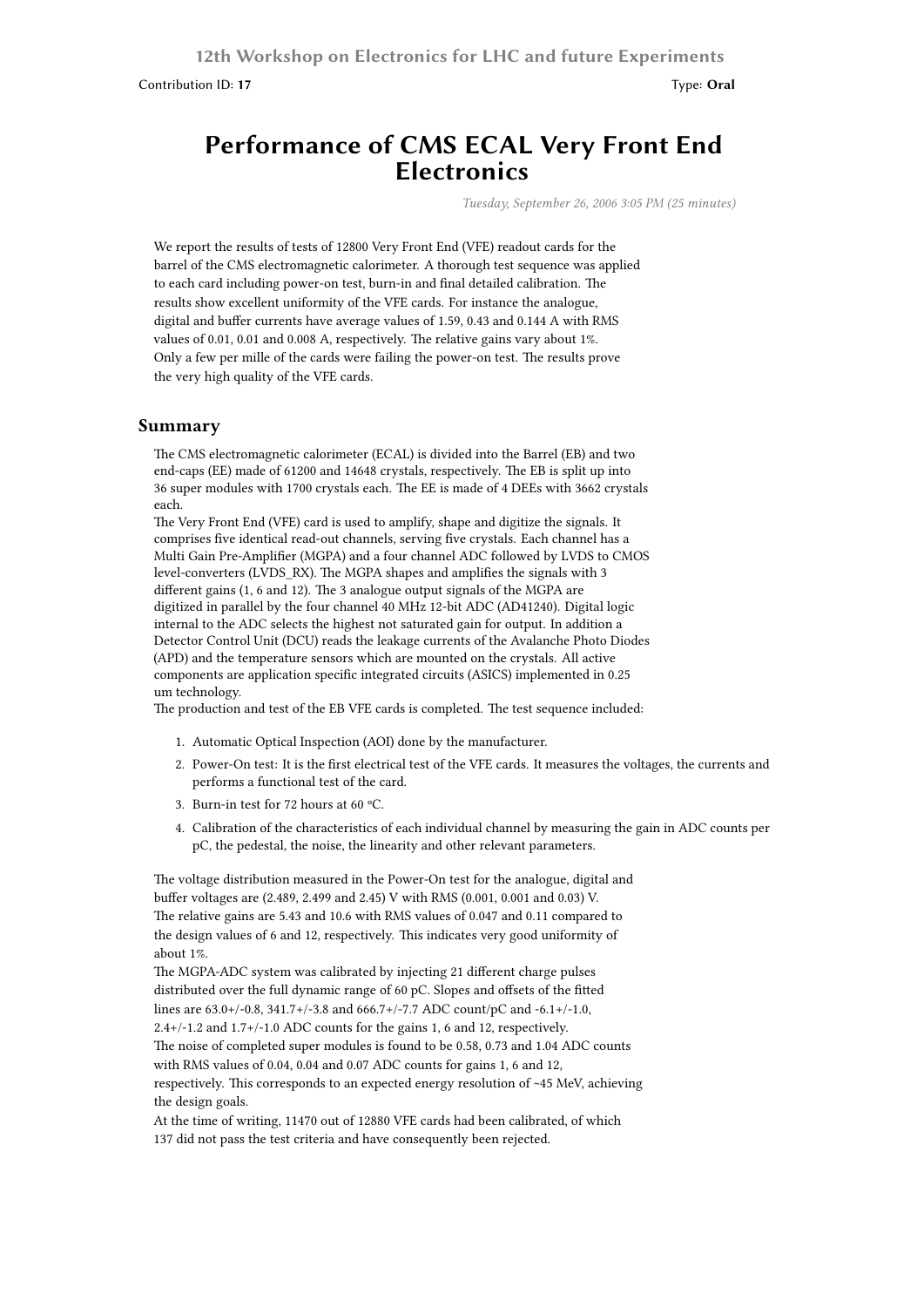Contribution ID: **17** Type: **Oral**

## **Performance of CMS ECAL Very Front End Electronics**

*Tuesday, September 26, 2006 3:05 PM (25 minutes)*

We report the results of tests of 12800 Very Front End (VFE) readout cards for the barrel of the CMS electromagnetic calorimeter. A thorough test sequence was applied to each card including power-on test, burn-in and final detailed calibration. The results show excellent uniformity of the VFE cards. For instance the analogue, digital and buffer currents have average values of 1.59, 0.43 and 0.144 A with RMS values of 0.01, 0.01 and 0.008 A, respectively. The relative gains vary about 1%. Only a few per mille of the cards were failing the power-on test. The results prove the very high quality of the VFE cards.

## **Summary**

The CMS electromagnetic calorimeter (ECAL) is divided into the Barrel (EB) and two end-caps (EE) made of 61200 and 14648 crystals, respectively. The EB is split up into 36 super modules with 1700 crystals each. The EE is made of 4 DEEs with 3662 crystals each.

The Very Front End (VFE) card is used to amplify, shape and digitize the signals. It comprises five identical read-out channels, serving five crystals. Each channel has a Multi Gain Pre-Amplifier (MGPA) and a four channel ADC followed by LVDS to CMOS level-converters (LVDS\_RX). The MGPA shapes and amplifies the signals with 3 different gains (1, 6 and 12). The 3 analogue output signals of the MGPA are digitized in parallel by the four channel 40 MHz 12-bit ADC (AD41240). Digital logic internal to the ADC selects the highest not saturated gain for output. In addition a Detector Control Unit (DCU) reads the leakage currents of the Avalanche Photo Diodes (APD) and the temperature sensors which are mounted on the crystals. All active components are application specific integrated circuits (ASICS) implemented in 0.25 um technology.

The production and test of the EB VFE cards is completed. The test sequence included:

- 1. Automatic Optical Inspection (AOI) done by the manufacturer.
- 2. Power-On test: It is the first electrical test of the VFE cards. It measures the voltages, the currents and performs a functional test of the card.
- 3. Burn-in test for 72 hours at 60 ºC.
- 4. Calibration of the characteristics of each individual channel by measuring the gain in ADC counts per pC, the pedestal, the noise, the linearity and other relevant parameters.

The voltage distribution measured in the Power-On test for the analogue, digital and buffer voltages are (2.489, 2.499 and 2.45) V with RMS (0.001, 0.001 and 0.03) V. The relative gains are 5.43 and 10.6 with RMS values of 0.047 and 0.11 compared to the design values of 6 and 12, respectively. This indicates very good uniformity of about 1%.

The MGPA-ADC system was calibrated by injecting 21 different charge pulses distributed over the full dynamic range of 60 pC. Slopes and offsets of the fitted lines are 63.0+/-0.8, 341.7+/-3.8 and 666.7+/-7.7 ADC count/pC and -6.1+/-1.0, 2.4+/-1.2 and 1.7+/-1.0 ADC counts for the gains 1, 6 and 12, respectively. The noise of completed super modules is found to be 0.58, 0.73 and 1.04 ADC counts with RMS values of 0.04, 0.04 and 0.07 ADC counts for gains 1, 6 and 12, respectively. This corresponds to an expected energy resolution of ~45 MeV, achieving the design goals.

At the time of writing, 11470 out of 12880 VFE cards had been calibrated, of which 137 did not pass the test criteria and have consequently been rejected.